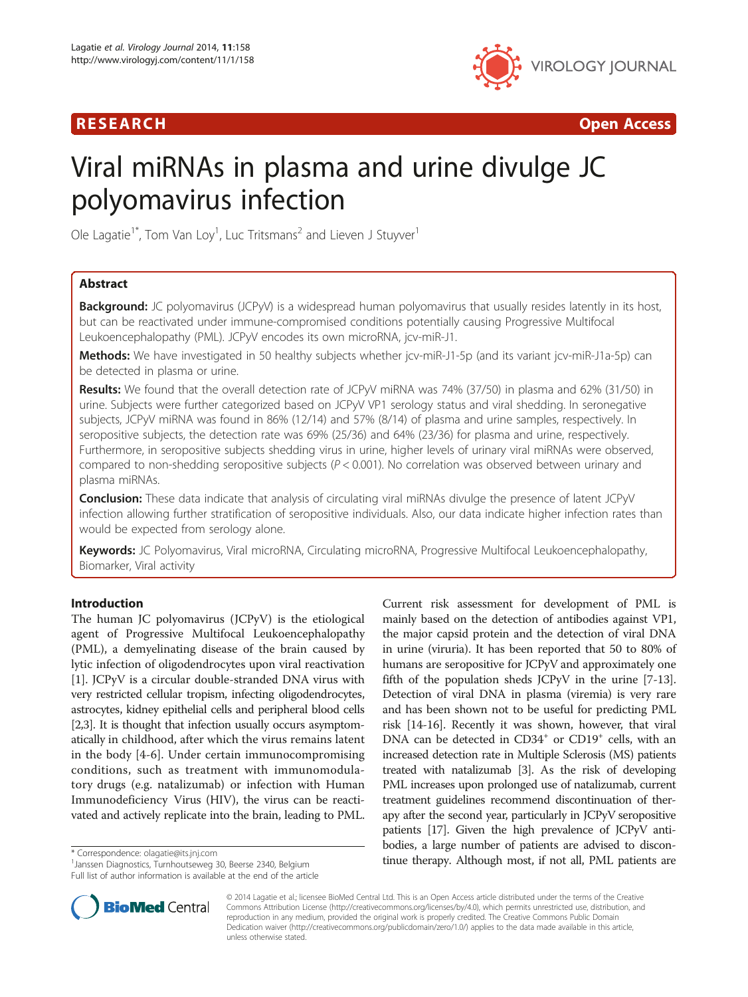## R E S EAR CH Open Access



# Viral miRNAs in plasma and urine divulge JC polyomavirus infection

Ole Lagatie<sup>1\*</sup>, Tom Van Loy<sup>1</sup>, Luc Tritsmans<sup>2</sup> and Lieven J Stuyver<sup>1</sup>

## Abstract

**Background:** JC polyomavirus (JCPyV) is a widespread human polyomavirus that usually resides latently in its host, but can be reactivated under immune-compromised conditions potentially causing Progressive Multifocal Leukoencephalopathy (PML). JCPyV encodes its own microRNA, jcv-miR-J1.

Methods: We have investigated in 50 healthy subjects whether jcv-miR-J1-5p (and its variant jcv-miR-J1a-5p) can be detected in plasma or urine.

Results: We found that the overall detection rate of JCPyV miRNA was 74% (37/50) in plasma and 62% (31/50) in urine. Subjects were further categorized based on JCPyV VP1 serology status and viral shedding. In seronegative subjects, JCPyV miRNA was found in 86% (12/14) and 57% (8/14) of plasma and urine samples, respectively. In seropositive subjects, the detection rate was 69% (25/36) and 64% (23/36) for plasma and urine, respectively. Furthermore, in seropositive subjects shedding virus in urine, higher levels of urinary viral miRNAs were observed, compared to non-shedding seropositive subjects ( $P < 0.001$ ). No correlation was observed between urinary and plasma miRNAs.

Conclusion: These data indicate that analysis of circulating viral miRNAs divulge the presence of latent JCPyV infection allowing further stratification of seropositive individuals. Also, our data indicate higher infection rates than would be expected from serology alone.

Keywords: JC Polyomavirus, Viral microRNA, Circulating microRNA, Progressive Multifocal Leukoencephalopathy, Biomarker, Viral activity

## Introduction

The human JC polyomavirus (JCPyV) is the etiological agent of Progressive Multifocal Leukoencephalopathy (PML), a demyelinating disease of the brain caused by lytic infection of oligodendrocytes upon viral reactivation [[1\]](#page-7-0). JCPyV is a circular double-stranded DNA virus with very restricted cellular tropism, infecting oligodendrocytes, astrocytes, kidney epithelial cells and peripheral blood cells [[2,3](#page-7-0)]. It is thought that infection usually occurs asymptomatically in childhood, after which the virus remains latent in the body [\[4](#page-7-0)-[6](#page-7-0)]. Under certain immunocompromising conditions, such as treatment with immunomodulatory drugs (e.g. natalizumab) or infection with Human Immunodeficiency Virus (HIV), the virus can be reactivated and actively replicate into the brain, leading to PML.

<sup>1</sup> Janssen Diagnostics, Turnhoutseweg 30, Beerse 2340, Belgium Full list of author information is available at the end of the article





© 2014 Lagatie et al.; licensee BioMed Central Ltd. This is an Open Access article distributed under the terms of the Creative Commons Attribution License [\(http://creativecommons.org/licenses/by/4.0\)](http://creativecommons.org/licenses/by/4.0), which permits unrestricted use, distribution, and reproduction in any medium, provided the original work is properly credited. The Creative Commons Public Domain Dedication waiver [\(http://creativecommons.org/publicdomain/zero/1.0/](http://creativecommons.org/publicdomain/zero/1.0/)) applies to the data made available in this article, unless otherwise stated.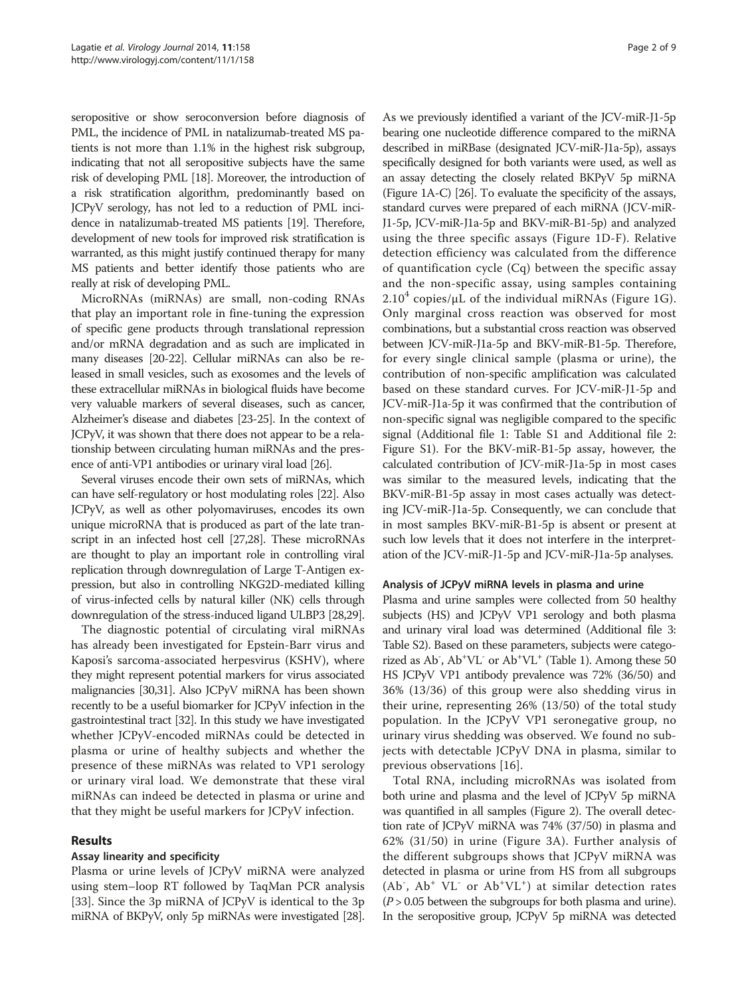seropositive or show seroconversion before diagnosis of PML, the incidence of PML in natalizumab-treated MS patients is not more than 1.1% in the highest risk subgroup, indicating that not all seropositive subjects have the same risk of developing PML [\[18\]](#page-8-0). Moreover, the introduction of a risk stratification algorithm, predominantly based on JCPyV serology, has not led to a reduction of PML incidence in natalizumab-treated MS patients [[19](#page-8-0)]. Therefore, development of new tools for improved risk stratification is warranted, as this might justify continued therapy for many MS patients and better identify those patients who are really at risk of developing PML.

MicroRNAs (miRNAs) are small, non-coding RNAs that play an important role in fine-tuning the expression of specific gene products through translational repression and/or mRNA degradation and as such are implicated in many diseases [[20-22\]](#page-8-0). Cellular miRNAs can also be released in small vesicles, such as exosomes and the levels of these extracellular miRNAs in biological fluids have become very valuable markers of several diseases, such as cancer, Alzheimer's disease and diabetes [\[23](#page-8-0)-[25](#page-8-0)]. In the context of JCPyV, it was shown that there does not appear to be a relationship between circulating human miRNAs and the presence of anti-VP1 antibodies or urinary viral load [\[26](#page-8-0)].

Several viruses encode their own sets of miRNAs, which can have self-regulatory or host modulating roles [\[22\]](#page-8-0). Also JCPyV, as well as other polyomaviruses, encodes its own unique microRNA that is produced as part of the late transcript in an infected host cell [[27,28\]](#page-8-0). These microRNAs are thought to play an important role in controlling viral replication through downregulation of Large T-Antigen expression, but also in controlling NKG2D-mediated killing of virus-infected cells by natural killer (NK) cells through downregulation of the stress-induced ligand ULBP3 [[28,29](#page-8-0)].

The diagnostic potential of circulating viral miRNAs has already been investigated for Epstein-Barr virus and Kaposi's sarcoma-associated herpesvirus (KSHV), where they might represent potential markers for virus associated malignancies [[30,31](#page-8-0)]. Also JCPyV miRNA has been shown recently to be a useful biomarker for JCPyV infection in the gastrointestinal tract [\[32\]](#page-8-0). In this study we have investigated whether JCPyV-encoded miRNAs could be detected in plasma or urine of healthy subjects and whether the presence of these miRNAs was related to VP1 serology or urinary viral load. We demonstrate that these viral miRNAs can indeed be detected in plasma or urine and that they might be useful markers for JCPyV infection.

## Results

## Assay linearity and specificity

Plasma or urine levels of JCPyV miRNA were analyzed using stem–loop RT followed by TaqMan PCR analysis [[33\]](#page-8-0). Since the 3p miRNA of JCPyV is identical to the 3p miRNA of BKPyV, only 5p miRNAs were investigated [\[28](#page-8-0)].

As we previously identified a variant of the JCV-miR-J1-5p bearing one nucleotide difference compared to the miRNA described in miRBase (designated JCV-miR-J1a-5p), assays specifically designed for both variants were used, as well as an assay detecting the closely related BKPyV 5p miRNA (Figure [1A](#page-2-0)-C) [\[26\]](#page-8-0). To evaluate the specificity of the assays, standard curves were prepared of each miRNA (JCV-miR-J1-5p, JCV-miR-J1a-5p and BKV-miR-B1-5p) and analyzed using the three specific assays (Figure [1](#page-2-0)D-F). Relative detection efficiency was calculated from the difference of quantification cycle (Cq) between the specific assay and the non-specific assay, using samples containing  $2.10^4$  copies/μL of the individual miRNAs (Figure [1G](#page-2-0)). Only marginal cross reaction was observed for most combinations, but a substantial cross reaction was observed between JCV-miR-J1a-5p and BKV-miR-B1-5p. Therefore, for every single clinical sample (plasma or urine), the contribution of non-specific amplification was calculated based on these standard curves. For JCV-miR-J1-5p and JCV-miR-J1a-5p it was confirmed that the contribution of non-specific signal was negligible compared to the specific signal (Additional file [1:](#page-7-0) Table S1 and Additional file [2](#page-7-0): Figure S1). For the BKV-miR-B1-5p assay, however, the calculated contribution of JCV-miR-J1a-5p in most cases was similar to the measured levels, indicating that the BKV-miR-B1-5p assay in most cases actually was detecting JCV-miR-J1a-5p. Consequently, we can conclude that in most samples BKV-miR-B1-5p is absent or present at such low levels that it does not interfere in the interpretation of the JCV-miR-J1-5p and JCV-miR-J1a-5p analyses.

## Analysis of JCPyV miRNA levels in plasma and urine

Plasma and urine samples were collected from 50 healthy subjects (HS) and JCPyV VP1 serology and both plasma and urinary viral load was determined (Additional file [3](#page-7-0): Table S2). Based on these parameters, subjects were catego-rized as Ab<sup>-</sup>, Ab<sup>+</sup>VL<sup>-</sup> or Ab<sup>+</sup>VL<sup>+</sup> (Table [1](#page-3-0)). Among these 50 HS JCPyV VP1 antibody prevalence was 72% (36/50) and 36% (13/36) of this group were also shedding virus in their urine, representing 26% (13/50) of the total study population. In the JCPyV VP1 seronegative group, no urinary virus shedding was observed. We found no subjects with detectable JCPyV DNA in plasma, similar to previous observations [[16](#page-7-0)].

Total RNA, including microRNAs was isolated from both urine and plasma and the level of JCPyV 5p miRNA was quantified in all samples (Figure [2](#page-3-0)). The overall detection rate of JCPyV miRNA was 74% (37/50) in plasma and 62% (31/50) in urine (Figure [3](#page-4-0)A). Further analysis of the different subgroups shows that JCPyV miRNA was detected in plasma or urine from HS from all subgroups (Ab<sup>-</sup>, Ab<sup>+</sup> VL<sup>-</sup> or Ab<sup>+</sup>VL<sup>+</sup>) at similar detection rates  $(P > 0.05)$  between the subgroups for both plasma and urine). In the seropositive group, JCPyV 5p miRNA was detected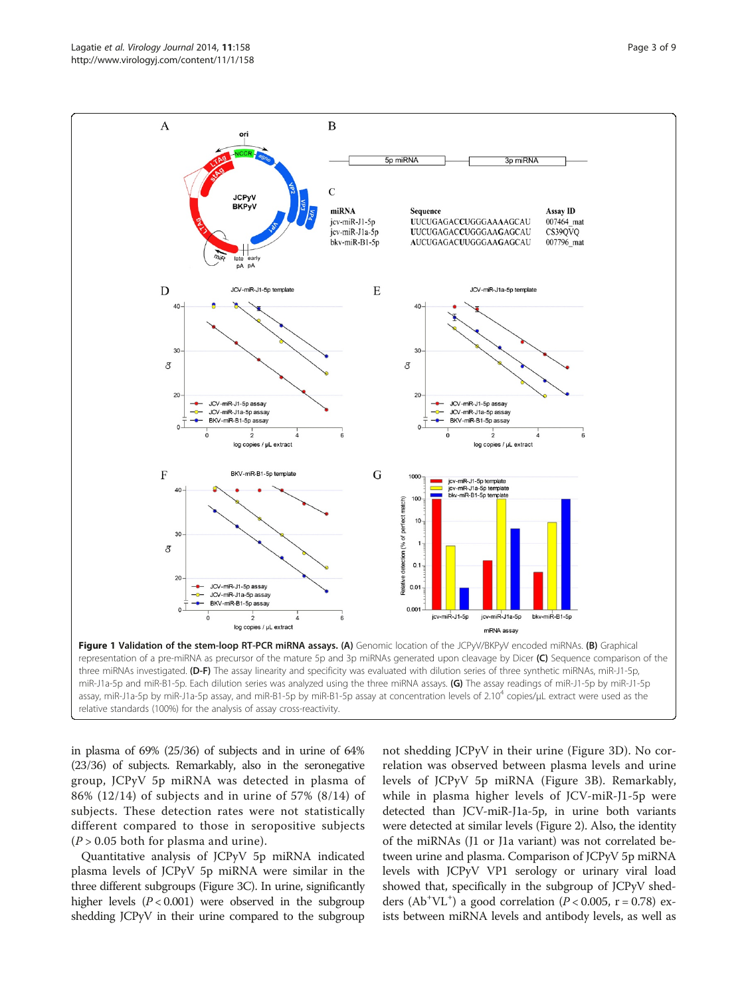<span id="page-2-0"></span>http://www.virologyj.com/content/11/1/158



in plasma of 69% (25/36) of subjects and in urine of 64% (23/36) of subjects. Remarkably, also in the seronegative group, JCPyV 5p miRNA was detected in plasma of 86% (12/14) of subjects and in urine of 57% (8/14) of subjects. These detection rates were not statistically different compared to those in seropositive subjects  $(P > 0.05$  both for plasma and urine).

Quantitative analysis of JCPyV 5p miRNA indicated plasma levels of JCPyV 5p miRNA were similar in the three different subgroups (Figure [3](#page-4-0)C). In urine, significantly higher levels  $(P < 0.001)$  were observed in the subgroup shedding JCPyV in their urine compared to the subgroup

not shedding JCPyV in their urine (Figure [3D](#page-4-0)). No correlation was observed between plasma levels and urine levels of JCPyV 5p miRNA (Figure [3B](#page-4-0)). Remarkably, while in plasma higher levels of JCV-miR-J1-5p were detected than JCV-miR-J1a-5p, in urine both variants were detected at similar levels (Figure [2\)](#page-3-0). Also, the identity of the miRNAs (J1 or J1a variant) was not correlated between urine and plasma. Comparison of JCPyV 5p miRNA levels with JCPyV VP1 serology or urinary viral load showed that, specifically in the subgroup of JCPyV shedders (Ab<sup>+</sup>VL<sup>+</sup>) a good correlation ( $P < 0.005$ , r = 0.78) exists between miRNA levels and antibody levels, as well as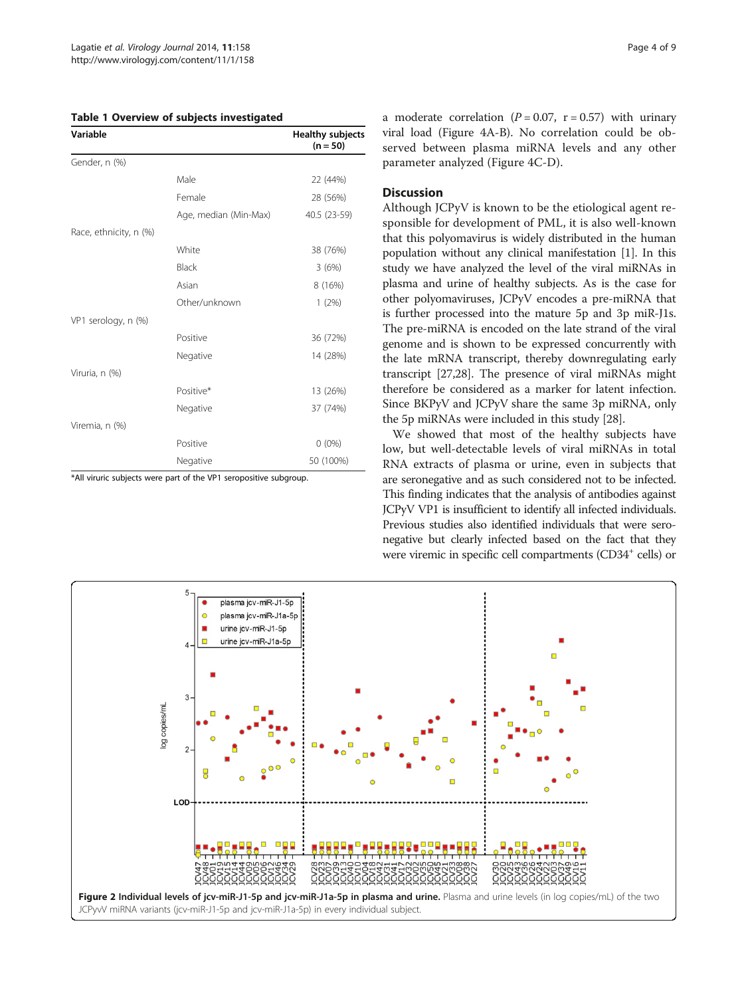<span id="page-3-0"></span>

|  |  |  |  | Table 1 Overview of subjects investigated |
|--|--|--|--|-------------------------------------------|
|--|--|--|--|-------------------------------------------|

| Variable               |                       | <b>Healthy subjects</b><br>$(n = 50)$ |
|------------------------|-----------------------|---------------------------------------|
| Gender, n (%)          |                       |                                       |
|                        | Male                  | 22 (44%)                              |
|                        | Female                | 28 (56%)                              |
|                        | Age, median (Min-Max) | 40.5 (23-59)                          |
| Race, ethnicity, n (%) |                       |                                       |
|                        | White                 | 38 (76%)                              |
|                        | Black                 | 3(6%)                                 |
|                        | Asian                 | 8 (16%)                               |
|                        | Other/unknown         | 1(2%)                                 |
| VP1 serology, n (%)    |                       |                                       |
|                        | Positive              | 36 (72%)                              |
|                        | Negative              | 14 (28%)                              |
| Viruria, n (%)         |                       |                                       |
|                        | Positive*             | 13 (26%)                              |
|                        | Negative              | 37 (74%)                              |
| Viremia, n (%)         |                       |                                       |
|                        | Positive              | $0(0\%)$                              |
|                        | Negative              | 50 (100%)                             |

\*All viruric subjects were part of the VP1 seropositive subgroup.

a moderate correlation ( $P = 0.07$ ,  $r = 0.57$ ) with urinary viral load (Figure [4](#page-5-0)A-B). No correlation could be observed between plasma miRNA levels and any other parameter analyzed (Figure [4](#page-5-0)C-D).

#### **Discussion**

Although JCPyV is known to be the etiological agent responsible for development of PML, it is also well-known that this polyomavirus is widely distributed in the human population without any clinical manifestation [[1\]](#page-7-0). In this study we have analyzed the level of the viral miRNAs in plasma and urine of healthy subjects. As is the case for other polyomaviruses, JCPyV encodes a pre-miRNA that is further processed into the mature 5p and 3p miR-J1s. The pre-miRNA is encoded on the late strand of the viral genome and is shown to be expressed concurrently with the late mRNA transcript, thereby downregulating early transcript [[27,28](#page-8-0)]. The presence of viral miRNAs might therefore be considered as a marker for latent infection. Since BKPyV and JCPyV share the same 3p miRNA, only the 5p miRNAs were included in this study [\[28\]](#page-8-0).

We showed that most of the healthy subjects have low, but well-detectable levels of viral miRNAs in total RNA extracts of plasma or urine, even in subjects that are seronegative and as such considered not to be infected. This finding indicates that the analysis of antibodies against JCPyV VP1 is insufficient to identify all infected individuals. Previous studies also identified individuals that were seronegative but clearly infected based on the fact that they were viremic in specific cell compartments (CD34<sup>+</sup> cells) or

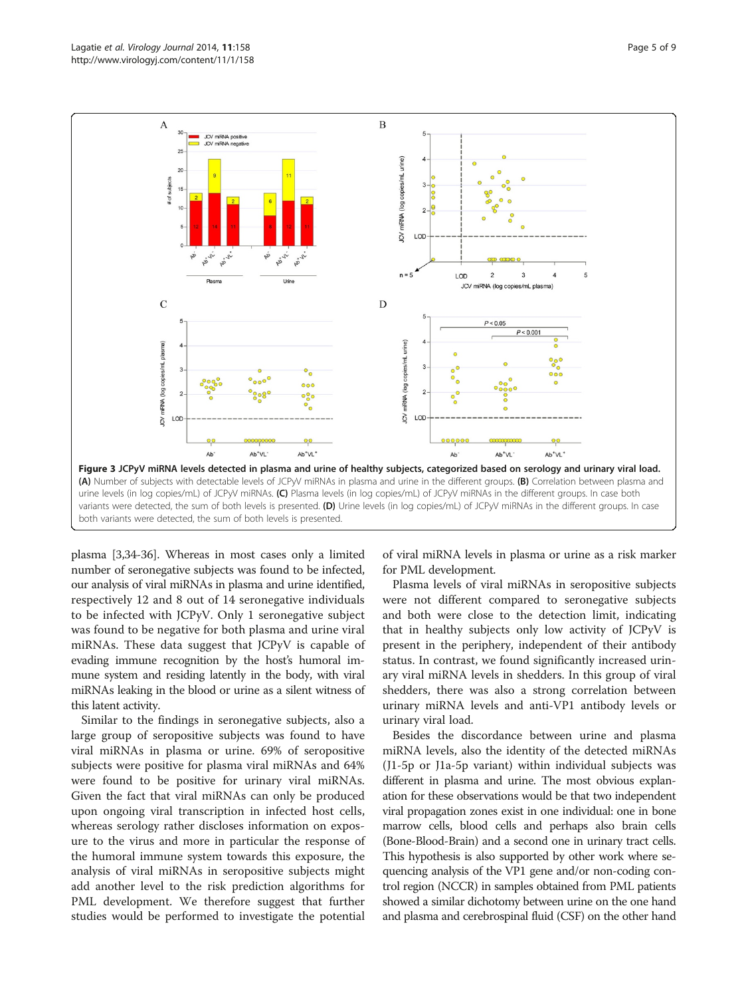<span id="page-4-0"></span>

plasma [\[3](#page-7-0)[,34-36\]](#page-8-0). Whereas in most cases only a limited number of seronegative subjects was found to be infected, our analysis of viral miRNAs in plasma and urine identified, respectively 12 and 8 out of 14 seronegative individuals to be infected with JCPyV. Only 1 seronegative subject was found to be negative for both plasma and urine viral miRNAs. These data suggest that JCPyV is capable of evading immune recognition by the host's humoral immune system and residing latently in the body, with viral miRNAs leaking in the blood or urine as a silent witness of this latent activity.

Similar to the findings in seronegative subjects, also a large group of seropositive subjects was found to have viral miRNAs in plasma or urine. 69% of seropositive subjects were positive for plasma viral miRNAs and 64% were found to be positive for urinary viral miRNAs. Given the fact that viral miRNAs can only be produced upon ongoing viral transcription in infected host cells, whereas serology rather discloses information on exposure to the virus and more in particular the response of the humoral immune system towards this exposure, the analysis of viral miRNAs in seropositive subjects might add another level to the risk prediction algorithms for PML development. We therefore suggest that further studies would be performed to investigate the potential

of viral miRNA levels in plasma or urine as a risk marker for PML development.

Plasma levels of viral miRNAs in seropositive subjects were not different compared to seronegative subjects and both were close to the detection limit, indicating that in healthy subjects only low activity of JCPyV is present in the periphery, independent of their antibody status. In contrast, we found significantly increased urinary viral miRNA levels in shedders. In this group of viral shedders, there was also a strong correlation between urinary miRNA levels and anti-VP1 antibody levels or urinary viral load.

Besides the discordance between urine and plasma miRNA levels, also the identity of the detected miRNAs (J1-5p or J1a-5p variant) within individual subjects was different in plasma and urine. The most obvious explanation for these observations would be that two independent viral propagation zones exist in one individual: one in bone marrow cells, blood cells and perhaps also brain cells (Bone-Blood-Brain) and a second one in urinary tract cells. This hypothesis is also supported by other work where sequencing analysis of the VP1 gene and/or non-coding control region (NCCR) in samples obtained from PML patients showed a similar dichotomy between urine on the one hand and plasma and cerebrospinal fluid (CSF) on the other hand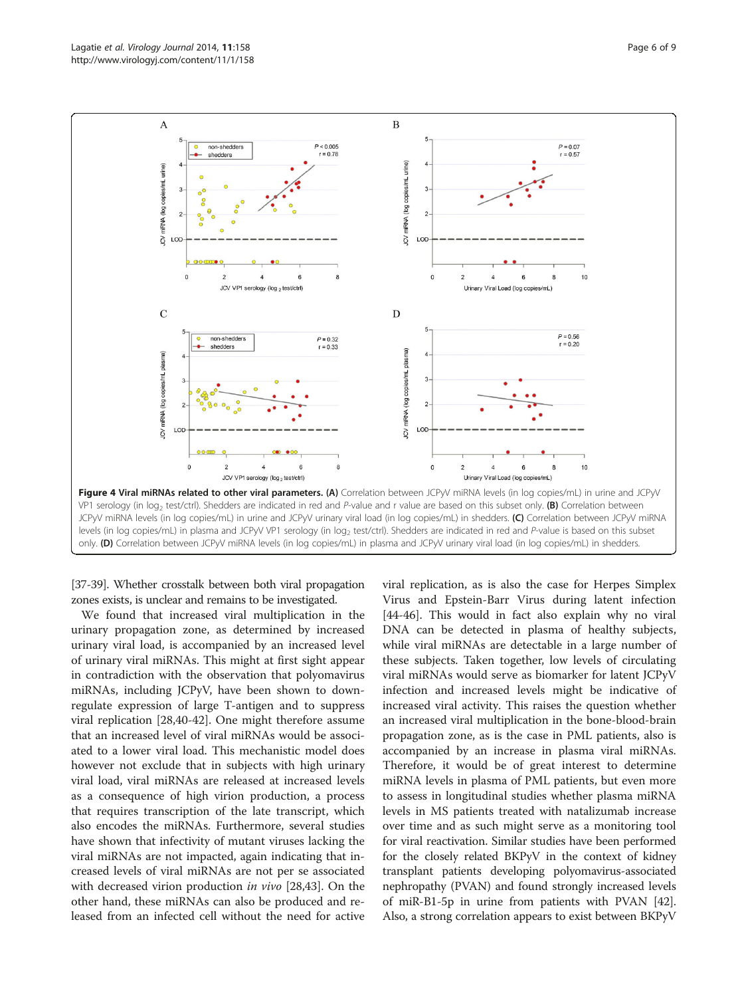<span id="page-5-0"></span>

[[37-39\]](#page-8-0). Whether crosstalk between both viral propagation zones exists, is unclear and remains to be investigated.

We found that increased viral multiplication in the urinary propagation zone, as determined by increased urinary viral load, is accompanied by an increased level of urinary viral miRNAs. This might at first sight appear in contradiction with the observation that polyomavirus miRNAs, including JCPyV, have been shown to downregulate expression of large T-antigen and to suppress viral replication [[28,40-42](#page-8-0)]. One might therefore assume that an increased level of viral miRNAs would be associated to a lower viral load. This mechanistic model does however not exclude that in subjects with high urinary viral load, viral miRNAs are released at increased levels as a consequence of high virion production, a process that requires transcription of the late transcript, which also encodes the miRNAs. Furthermore, several studies have shown that infectivity of mutant viruses lacking the viral miRNAs are not impacted, again indicating that increased levels of viral miRNAs are not per se associated with decreased virion production *in vivo* [[28,43\]](#page-8-0). On the other hand, these miRNAs can also be produced and released from an infected cell without the need for active viral replication, as is also the case for Herpes Simplex Virus and Epstein-Barr Virus during latent infection [[44-46](#page-8-0)]. This would in fact also explain why no viral DNA can be detected in plasma of healthy subjects, while viral miRNAs are detectable in a large number of these subjects. Taken together, low levels of circulating viral miRNAs would serve as biomarker for latent JCPyV infection and increased levels might be indicative of increased viral activity. This raises the question whether an increased viral multiplication in the bone-blood-brain propagation zone, as is the case in PML patients, also is accompanied by an increase in plasma viral miRNAs. Therefore, it would be of great interest to determine miRNA levels in plasma of PML patients, but even more to assess in longitudinal studies whether plasma miRNA levels in MS patients treated with natalizumab increase over time and as such might serve as a monitoring tool for viral reactivation. Similar studies have been performed for the closely related BKPyV in the context of kidney transplant patients developing polyomavirus-associated nephropathy (PVAN) and found strongly increased levels of miR-B1-5p in urine from patients with PVAN [[42](#page-8-0)]. Also, a strong correlation appears to exist between BKPyV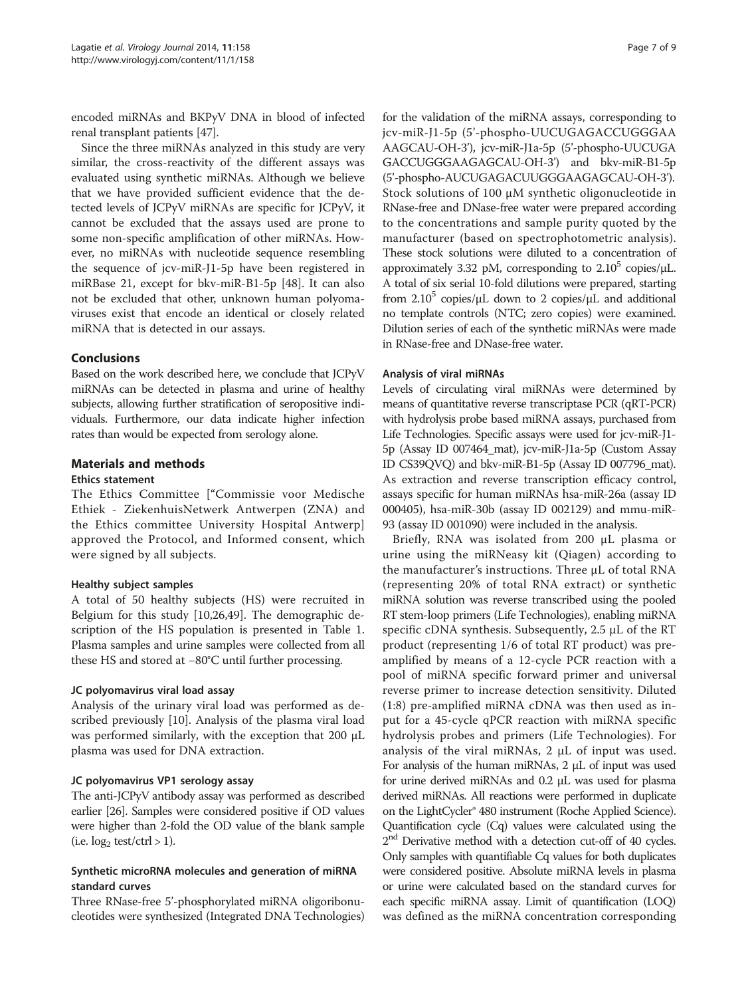encoded miRNAs and BKPyV DNA in blood of infected renal transplant patients [[47](#page-8-0)].

Since the three miRNAs analyzed in this study are very similar, the cross-reactivity of the different assays was evaluated using synthetic miRNAs. Although we believe that we have provided sufficient evidence that the detected levels of JCPyV miRNAs are specific for JCPyV, it cannot be excluded that the assays used are prone to some non-specific amplification of other miRNAs. However, no miRNAs with nucleotide sequence resembling the sequence of jcv-miR-J1-5p have been registered in miRBase 21, except for bkv-miR-B1-5p [\[48](#page-8-0)]. It can also not be excluded that other, unknown human polyomaviruses exist that encode an identical or closely related miRNA that is detected in our assays.

## Conclusions

Based on the work described here, we conclude that JCPyV miRNAs can be detected in plasma and urine of healthy subjects, allowing further stratification of seropositive individuals. Furthermore, our data indicate higher infection rates than would be expected from serology alone.

## Materials and methods

#### Ethics statement

The Ethics Committee ["Commissie voor Medische Ethiek - ZiekenhuisNetwerk Antwerpen (ZNA) and the Ethics committee University Hospital Antwerp] approved the Protocol, and Informed consent, which were signed by all subjects.

#### Healthy subject samples

A total of 50 healthy subjects (HS) were recruited in Belgium for this study [\[10](#page-7-0)[,26,49](#page-8-0)]. The demographic description of the HS population is presented in Table [1](#page-3-0). Plasma samples and urine samples were collected from all these HS and stored at −80°C until further processing.

## JC polyomavirus viral load assay

Analysis of the urinary viral load was performed as described previously [\[10](#page-7-0)]. Analysis of the plasma viral load was performed similarly, with the exception that 200 μL plasma was used for DNA extraction.

## JC polyomavirus VP1 serology assay

The anti-JCPyV antibody assay was performed as described earlier [\[26\]](#page-8-0). Samples were considered positive if OD values were higher than 2-fold the OD value of the blank sample (i.e.  $log_2 \text{ test/ctrl} > 1$ ).

## Synthetic microRNA molecules and generation of miRNA standard curves

Three RNase-free 5'-phosphorylated miRNA oligoribonucleotides were synthesized (Integrated DNA Technologies)

for the validation of the miRNA assays, corresponding to jcv-miR-J1-5p (5'-phospho-UUCUGAGACCUGGGAA AAGCAU-OH-3'), jcv-miR-J1a-5p (5'-phospho-UUCUGA GACCUGGGAAGAGCAU-OH-3') and bkv-miR-B1-5p (5'-phospho-AUCUGAGACUUGGGAAGAGCAU-OH-3'). Stock solutions of 100 μM synthetic oligonucleotide in RNase-free and DNase-free water were prepared according to the concentrations and sample purity quoted by the manufacturer (based on spectrophotometric analysis). These stock solutions were diluted to a concentration of approximately 3.32 pM, corresponding to  $2.10^5$  copies/ $\mu$ L. A total of six serial 10-fold dilutions were prepared, starting from 2.10<sup>5</sup> copies/μL down to 2 copies/μL and additional no template controls (NTC; zero copies) were examined. Dilution series of each of the synthetic miRNAs were made in RNase-free and DNase-free water.

## Analysis of viral miRNAs

Levels of circulating viral miRNAs were determined by means of quantitative reverse transcriptase PCR (qRT-PCR) with hydrolysis probe based miRNA assays, purchased from Life Technologies. Specific assays were used for jcv-miR-J1- 5p (Assay ID 007464\_mat), jcv-miR-J1a-5p (Custom Assay ID CS39QVQ) and bkv-miR-B1-5p (Assay ID 007796\_mat). As extraction and reverse transcription efficacy control, assays specific for human miRNAs hsa-miR-26a (assay ID 000405), hsa-miR-30b (assay ID 002129) and mmu-miR-93 (assay ID 001090) were included in the analysis.

Briefly, RNA was isolated from 200 μL plasma or urine using the miRNeasy kit (Qiagen) according to the manufacturer's instructions. Three μL of total RNA (representing 20% of total RNA extract) or synthetic miRNA solution was reverse transcribed using the pooled RT stem-loop primers (Life Technologies), enabling miRNA specific cDNA synthesis. Subsequently, 2.5 μL of the RT product (representing 1/6 of total RT product) was preamplified by means of a 12-cycle PCR reaction with a pool of miRNA specific forward primer and universal reverse primer to increase detection sensitivity. Diluted (1:8) pre-amplified miRNA cDNA was then used as input for a 45-cycle qPCR reaction with miRNA specific hydrolysis probes and primers (Life Technologies). For analysis of the viral miRNAs, 2 μL of input was used. For analysis of the human miRNAs, 2 μL of input was used for urine derived miRNAs and 0.2 μL was used for plasma derived miRNAs. All reactions were performed in duplicate on the LightCycler® 480 instrument (Roche Applied Science). Quantification cycle (Cq) values were calculated using the  $2<sup>nd</sup>$  Derivative method with a detection cut-off of 40 cycles. Only samples with quantifiable Cq values for both duplicates were considered positive. Absolute miRNA levels in plasma or urine were calculated based on the standard curves for each specific miRNA assay. Limit of quantification (LOQ) was defined as the miRNA concentration corresponding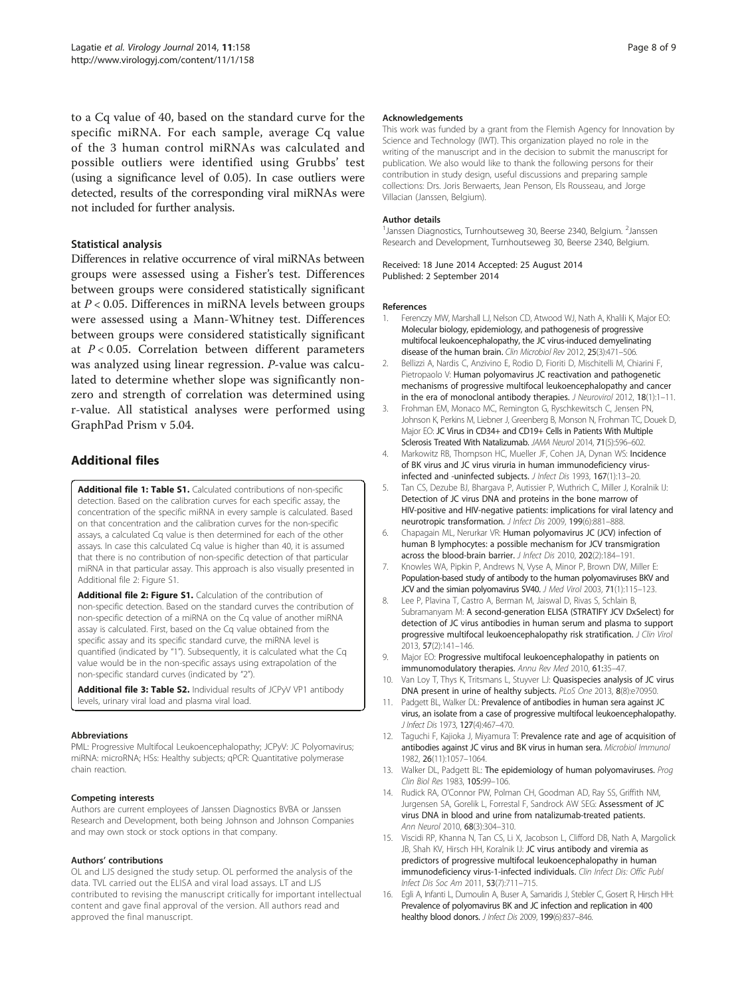<span id="page-7-0"></span>to a Cq value of 40, based on the standard curve for the specific miRNA. For each sample, average Cq value of the 3 human control miRNAs was calculated and possible outliers were identified using Grubbs' test (using a significance level of 0.05). In case outliers were detected, results of the corresponding viral miRNAs were not included for further analysis.

#### Statistical analysis

Differences in relative occurrence of viral miRNAs between groups were assessed using a Fisher's test. Differences between groups were considered statistically significant at  $P < 0.05$ . Differences in miRNA levels between groups were assessed using a Mann-Whitney test. Differences between groups were considered statistically significant at  $P < 0.05$ . Correlation between different parameters was analyzed using linear regression. P-value was calculated to determine whether slope was significantly nonzero and strength of correlation was determined using r-value. All statistical analyses were performed using GraphPad Prism v 5.04.

## Additional files

[Additional file 1: Table S1.](http://www.biomedcentral.com/content/supplementary/1743-422X-11-158-S1.zip) Calculated contributions of non-specific detection. Based on the calibration curves for each specific assay, the concentration of the specific miRNA in every sample is calculated. Based on that concentration and the calibration curves for the non-specific assays, a calculated Cq value is then determined for each of the other assays. In case this calculated Cq value is higher than 40, it is assumed that there is no contribution of non-specific detection of that particular miRNA in that particular assay. This approach is also visually presented in Additional file 2: Figure S1.

[Additional file 2: Figure S1.](http://www.biomedcentral.com/content/supplementary/1743-422X-11-158-S2.png) Calculation of the contribution of non-specific detection. Based on the standard curves the contribution of non-specific detection of a miRNA on the Cq value of another miRNA assay is calculated. First, based on the Cq value obtained from the specific assay and its specific standard curve, the miRNA level is quantified (indicated by "1"). Subsequently, it is calculated what the Cq value would be in the non-specific assays using extrapolation of the non-specific standard curves (indicated by "2").

[Additional file 3: Table S2.](http://www.biomedcentral.com/content/supplementary/1743-422X-11-158-S3.zip) Individual results of JCPyV VP1 antibody levels, urinary viral load and plasma viral load.

#### Abbreviations

PML: Progressive Multifocal Leukoencephalopathy; JCPyV: JC Polyomavirus; miRNA: microRNA; HSs: Healthy subjects; qPCR: Quantitative polymerase chain reaction.

#### Competing interests

Authors are current employees of Janssen Diagnostics BVBA or Janssen Research and Development, both being Johnson and Johnson Companies and may own stock or stock options in that company.

#### Authors' contributions

OL and LJS designed the study setup. OL performed the analysis of the data. TVL carried out the ELISA and viral load assays. LT and LJS contributed to revising the manuscript critically for important intellectual content and gave final approval of the version. All authors read and approved the final manuscript.

#### Acknowledgements

This work was funded by a grant from the Flemish Agency for Innovation by Science and Technology (IWT). This organization played no role in the writing of the manuscript and in the decision to submit the manuscript for publication. We also would like to thank the following persons for their contribution in study design, useful discussions and preparing sample collections: Drs. Joris Berwaerts, Jean Penson, Els Rousseau, and Jorge Villacian (Janssen, Belgium).

#### Author details

<sup>1</sup> Janssen Diagnostics, Turnhoutseweg 30, Beerse 2340, Belgium. <sup>2</sup> Janssen Research and Development, Turnhoutseweg 30, Beerse 2340, Belgium.

#### Received: 18 June 2014 Accepted: 25 August 2014 Published: 2 September 2014

#### References

- Ferenczy MW, Marshall LJ, Nelson CD, Atwood WJ, Nath A, Khalili K, Major EO: Molecular biology, epidemiology, and pathogenesis of progressive multifocal leukoencephalopathy, the JC virus-induced demyelinating disease of the human brain. Clin Microbiol Rev 2012, 25(3):471-506.
- 2. Bellizzi A, Nardis C, Anzivino E, Rodio D, Fioriti D, Mischitelli M, Chiarini F, Pietropaolo V: Human polyomavirus JC reactivation and pathogenetic mechanisms of progressive multifocal leukoencephalopathy and cancer in the era of monoclonal antibody therapies. *J Neurovirol* 2012, 18(1):1-11.
- 3. Frohman EM, Monaco MC, Remington G, Ryschkewitsch C, Jensen PN, Johnson K, Perkins M, Liebner J, Greenberg B, Monson N, Frohman TC, Douek D, Major EO: JC Virus in CD34+ and CD19+ Cells in Patients With Multiple Sclerosis Treated With Natalizumab. JAMA Neurol 2014, 71(5):596-602.
- 4. Markowitz RB, Thompson HC, Mueller JF, Cohen JA, Dynan WS: Incidence of BK virus and JC virus viruria in human immunodeficiency virusinfected and -uninfected subjects. J Infect Dis 1993, 167(1):13–20.
- 5. Tan CS, Dezube BJ, Bhargava P, Autissier P, Wuthrich C, Miller J, Koralnik IJ: Detection of JC virus DNA and proteins in the bone marrow of HIV-positive and HIV-negative patients: implications for viral latency and neurotropic transformation. J Infect Dis 2009, 199(6):881–888.
- 6. Chapagain ML, Nerurkar VR: Human polyomavirus JC (JCV) infection of human B lymphocytes: a possible mechanism for JCV transmigration across the blood-brain barrier. J Infect Dis 2010, 202(2):184–191.
- 7. Knowles WA, Pipkin P, Andrews N, Vyse A, Minor P, Brown DW, Miller E: Population-based study of antibody to the human polyomaviruses BKV and JCV and the simian polyomavirus SV40. J Med Virol 2003, 71(1):115–123.
- 8. Lee P, Plavina T, Castro A, Berman M, Jaiswal D, Rivas S, Schlain B, Subramanyam M: A second-generation ELISA (STRATIFY JCV DxSelect) for detection of JC virus antibodies in human serum and plasma to support progressive multifocal leukoencephalopathy risk stratification. J Clin Virol 2013, 57(2):141–146.
- 9. Major EO: Progressive multifocal leukoencephalopathy in patients on immunomodulatory therapies. Annu Rev Med 2010, 61:35–47.
- 10. Van Loy T, Thys K, Tritsmans L, Stuyver LJ: Quasispecies analysis of JC virus DNA present in urine of healthy subjects. PLoS One 2013, 8(8):e70950.
- 11. Padgett BL, Walker DL: Prevalence of antibodies in human sera against JC virus, an isolate from a case of progressive multifocal leukoencephalopathy. J Infect Dis 1973, 127(4):467–470.
- 12. Taguchi F, Kajioka J, Miyamura T: Prevalence rate and age of acquisition of antibodies against JC virus and BK virus in human sera. Microbiol Immunol 1982, 26(11):1057–1064.
- 13. Walker DL, Padgett BL: The epidemiology of human polyomaviruses. Prog Clin Biol Res 1983, 105:99–106.
- 14. Rudick RA, O'Connor PW, Polman CH, Goodman AD, Ray SS, Griffith NM, Jurgensen SA, Gorelik L, Forrestal F, Sandrock AW SEG: Assessment of JC virus DNA in blood and urine from natalizumab-treated patients. Ann Neurol 2010, 68(3):304–310.
- 15. Viscidi RP, Khanna N, Tan CS, Li X, Jacobson L, Clifford DB, Nath A, Margolick JB, Shah KV, Hirsch HH, Koralnik IJ: JC virus antibody and viremia as predictors of progressive multifocal leukoencephalopathy in human immunodeficiency virus-1-infected individuals. Clin Infect Dis: Offic Publ Infect Dis Soc Am 2011, 53(7):711–715.
- 16. Egli A, Infanti L, Dumoulin A, Buser A, Samaridis J, Stebler C, Gosert R, Hirsch HH: Prevalence of polyomavirus BK and JC infection and replication in 400 healthy blood donors. J Infect Dis 2009, 199(6):837-846.